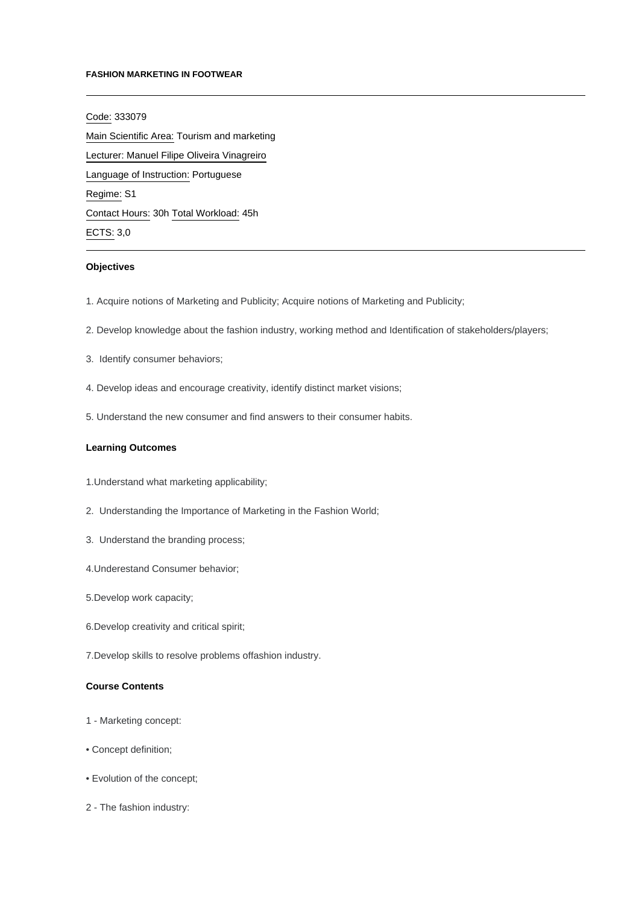#### **FASHION MARKETING IN FOOTWEAR**

Code: 333079 Main Scientific Area: Tourism and marketing Lecturer: [Manuel Filipe Oliveira Vinagreiro](mailto:mvinagreiro@ipca.pt) Language of Instruction: Portuguese Regime: S1 Contact Hours: 30h Total Workload: 45h ECTS: 3,0

## **Objectives**

- 1. Acquire notions of Marketing and Publicity; Acquire notions of Marketing and Publicity;
- 2. Develop knowledge about the fashion industry, working method and Identification of stakeholders/players;
- 3. Identify consumer behaviors;
- 4. Develop ideas and encourage creativity, identify distinct market visions;
- 5. Understand the new consumer and find answers to their consumer habits.

#### **Learning Outcomes**

- 1.Understand what marketing applicability;
- 2. Understanding the Importance of Marketing in the Fashion World;
- 3. Understand the branding process;
- 4.Underestand Consumer behavior;
- 5.Develop work capacity;
- 6.Develop creativity and critical spirit;
- 7.Develop skills to resolve problems offashion industry.

## **Course Contents**

- 1 Marketing concept:
- Concept definition;
- Evolution of the concept;
- 2 The fashion industry: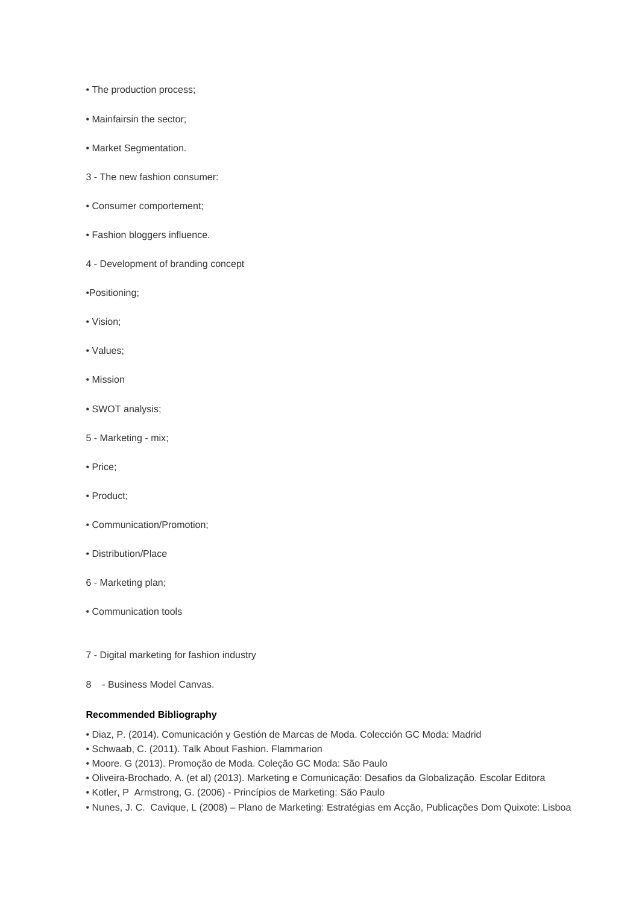- The production process;
- Mainfairsin the sector;
- Market Segmentation.
- 3 The new fashion consumer:
- Consumer comportement;
- Fashion bloggers influence.
- 4 Development of branding concept

•Positioning;

- Vision;
- Values;
- Mission
- SWOT analysis;
- 5 Marketing mix;
- Price;
- Product;
- Communication/Promotion;
- Distribution/Place
- 6 Marketing plan;
- Communication tools
- 7 Digital marketing for fashion industry
- 8 Business Model Canvas.

## **Recommended Bibliography**

- Diaz, P. (2014). Comunicación y Gestión de Marcas de Moda. Colección GC Moda: Madrid
- Schwaab, C. (2011). Talk About Fashion. Flammarion
- Moore. G (2013). Promoção de Moda. Coleção GC Moda: São Paulo
- Oliveira-Brochado, A. (et al) (2013). Marketing e Comunicação: Desafios da Globalização. Escolar Editora
- Kotler, P Armstrong, G. (2006) Princípios de Marketing: São Paulo
- Nunes, J. C. Cavique, L (2008) Plano de Marketing: Estratégias em Acção, Publicações Dom Quixote: Lisboa